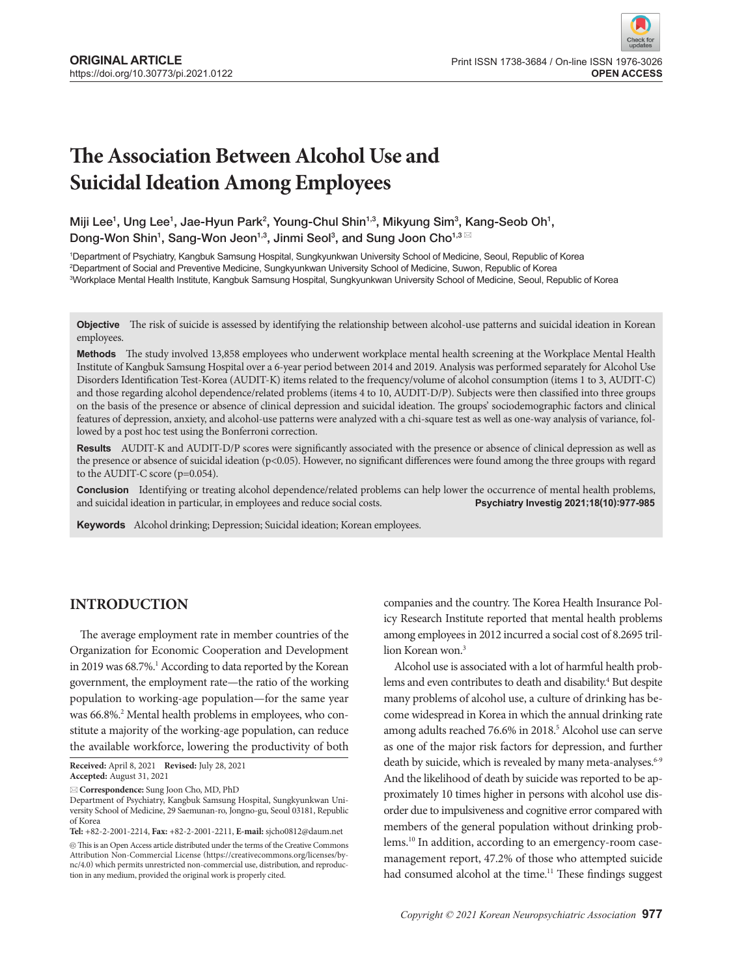# **The Association Between Alcohol Use and Suicidal Ideation Among Employees**

Miji Lee<sup>1</sup>, Ung Lee<sup>1</sup>, Jae-Hyun Park<sup>2</sup>, Young-Chul Shin<sup>1,3</sup>, Mikyung Sim<sup>3</sup>, Kang-Seob Oh<sup>1</sup>, Dong-Won Shin<sup>1</sup>, Sang-Won Jeon<sup>1,3</sup>, Jinmi Seol<sup>3</sup>, and Sung Joon Cho<sup>1,3⊠</sup>

1 Department of Psychiatry, Kangbuk Samsung Hospital, Sungkyunkwan University School of Medicine, Seoul, Republic of Korea 2 Department of Social and Preventive Medicine, Sungkyunkwan University School of Medicine, Suwon, Republic of Korea 3 Workplace Mental Health Institute, Kangbuk Samsung Hospital, Sungkyunkwan University School of Medicine, Seoul, Republic of Korea

**Objective** The risk of suicide is assessed by identifying the relationship between alcohol-use patterns and suicidal ideation in Korean employees.

**Methods** The study involved 13,858 employees who underwent workplace mental health screening at the Workplace Mental Health Institute of Kangbuk Samsung Hospital over a 6-year period between 2014 and 2019. Analysis was performed separately for Alcohol Use Disorders Identification Test-Korea (AUDIT-K) items related to the frequency/volume of alcohol consumption (items 1 to 3, AUDIT-C) and those regarding alcohol dependence/related problems (items 4 to 10, AUDIT-D/P). Subjects were then classified into three groups on the basis of the presence or absence of clinical depression and suicidal ideation. The groups' sociodemographic factors and clinical features of depression, anxiety, and alcohol-use patterns were analyzed with a chi-square test as well as one-way analysis of variance, followed by a post hoc test using the Bonferroni correction.

**Results** AUDIT-K and AUDIT-D/P scores were significantly associated with the presence or absence of clinical depression as well as the presence or absence of suicidal ideation (p<0.05). However, no significant differences were found among the three groups with regard to the AUDIT-C score (p=0.054).

**Conclusion** Identifying or treating alcohol dependence/related problems can help lower the occurrence of mental health problems, and suicidal ideation in particular, in employees and reduce social costs. **Psychiatry Investig 2021;18(10):977-985**

**Keywords** Alcohol drinking; Depression; Suicidal ideation; Korean employees.

# **INTRODUCTION**

The average employment rate in member countries of the Organization for Economic Cooperation and Development in 2019 was 68.7%.<sup>1</sup> According to data reported by the Korean government, the employment rate—the ratio of the working population to working-age population—for the same year was 66.8%.<sup>2</sup> Mental health problems in employees, who constitute a majority of the working-age population, can reduce the available workforce, lowering the productivity of both

**Tel:** +82-2-2001-2214, **Fax:** +82-2-2001-2211, **E-mail:** sjcho0812@daum.net  $\circledcirc$  This is an Open Access article distributed under the terms of the Creative Commons Attribution Non-Commercial License (https://creativecommons.org/licenses/bync/4.0) which permits unrestricted non-commercial use, distribution, and reproduction in any medium, provided the original work is properly cited.

companies and the country. The Korea Health Insurance Policy Research Institute reported that mental health problems among employees in 2012 incurred a social cost of 8.2695 trillion Korean won.<sup>3</sup>

Alcohol use is associated with a lot of harmful health problems and even contributes to death and disability.<sup>4</sup> But despite many problems of alcohol use, a culture of drinking has become widespread in Korea in which the annual drinking rate among adults reached 76.6% in 2018.<sup>5</sup> Alcohol use can serve as one of the major risk factors for depression, and further death by suicide, which is revealed by many meta-analyses.<sup>6-9</sup> And the likelihood of death by suicide was reported to be approximately 10 times higher in persons with alcohol use disorder due to impulsiveness and cognitive error compared with members of the general population without drinking problems.10 In addition, according to an emergency-room casemanagement report, 47.2% of those who attempted suicide had consumed alcohol at the time.<sup>11</sup> These findings suggest

**Received:** April 8, 2021 **Revised:** July 28, 2021 **Accepted:** August 31, 2021

**Correspondence:** Sung Joon Cho, MD, PhD

Department of Psychiatry, Kangbuk Samsung Hospital, Sungkyunkwan University School of Medicine, 29 Saemunan-ro, Jongno-gu, Seoul 03181, Republic of Korea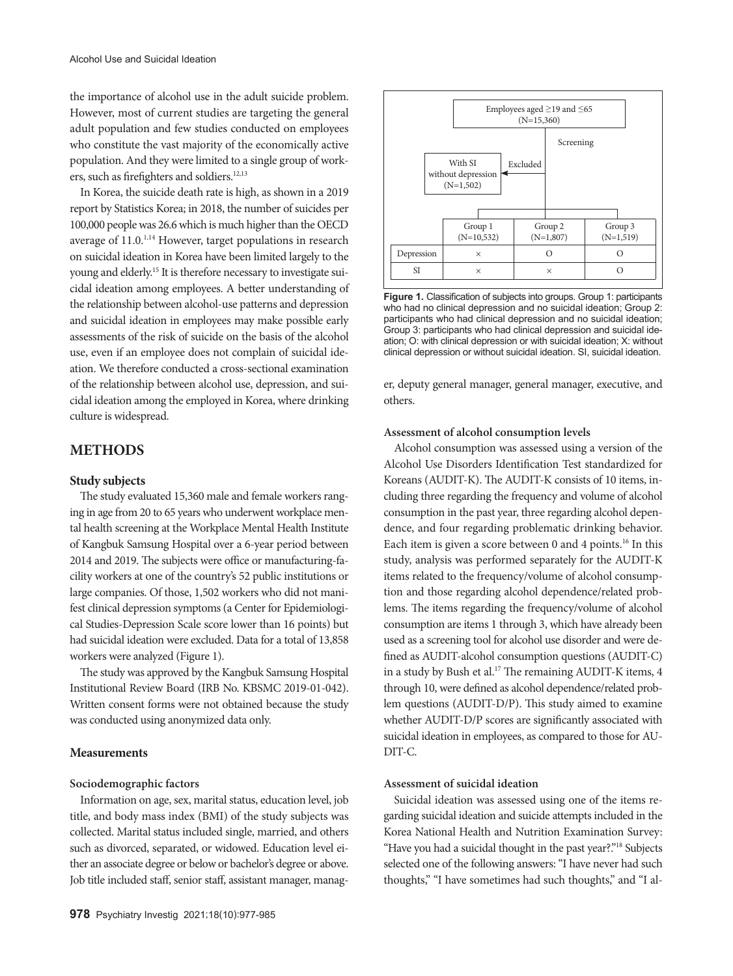the importance of alcohol use in the adult suicide problem. However, most of current studies are targeting the general adult population and few studies conducted on employees who constitute the vast majority of the economically active population. And they were limited to a single group of workers, such as firefighters and soldiers.<sup>12,13</sup>

In Korea, the suicide death rate is high, as shown in a 2019 report by Statistics Korea; in 2018, the number of suicides per 100,000 people was 26.6 which is much higher than the OECD average of 11.0.<sup>1,14</sup> However, target populations in research on suicidal ideation in Korea have been limited largely to the young and elderly.15 It is therefore necessary to investigate suicidal ideation among employees. A better understanding of the relationship between alcohol-use patterns and depression and suicidal ideation in employees may make possible early assessments of the risk of suicide on the basis of the alcohol use, even if an employee does not complain of suicidal ideation. We therefore conducted a cross-sectional examination of the relationship between alcohol use, depression, and suicidal ideation among the employed in Korea, where drinking culture is widespread.

# **METHODS**

## **Study subjects**

The study evaluated 15,360 male and female workers ranging in age from 20 to 65 years who underwent workplace mental health screening at the Workplace Mental Health Institute of Kangbuk Samsung Hospital over a 6-year period between 2014 and 2019. The subjects were office or manufacturing-facility workers at one of the country's 52 public institutions or large companies. Of those, 1,502 workers who did not manifest clinical depression symptoms (a Center for Epidemiological Studies-Depression Scale score lower than 16 points) but had suicidal ideation were excluded. Data for a total of 13,858 workers were analyzed (Figure 1).

The study was approved by the Kangbuk Samsung Hospital Institutional Review Board (IRB No. KBSMC 2019-01-042). Written consent forms were not obtained because the study was conducted using anonymized data only.

## **Measurements**

## **Sociodemographic factors**

Information on age, sex, marital status, education level, job title, and body mass index (BMI) of the study subjects was collected. Marital status included single, married, and others such as divorced, separated, or widowed. Education level either an associate degree or below or bachelor's degree or above. Job title included staff, senior staff, assistant manager, manag-



**Figure 1.** Classification of subjects into groups. Group 1: participants who had no clinical depression and no suicidal ideation; Group 2: participants who had clinical depression and no suicidal ideation; Group 3: participants who had clinical depression and suicidal ideation; O: with clinical depression or with suicidal ideation; X: without clinical depression or without suicidal ideation. SI, suicidal ideation.

er, deputy general manager, general manager, executive, and others.

#### **Assessment of alcohol consumption levels**

Alcohol consumption was assessed using a version of the Alcohol Use Disorders Identification Test standardized for Koreans (AUDIT-K). The AUDIT-K consists of 10 items, including three regarding the frequency and volume of alcohol consumption in the past year, three regarding alcohol dependence, and four regarding problematic drinking behavior. Each item is given a score between 0 and 4 points.<sup>16</sup> In this study, analysis was performed separately for the AUDIT-K items related to the frequency/volume of alcohol consumption and those regarding alcohol dependence/related problems. The items regarding the frequency/volume of alcohol consumption are items 1 through 3, which have already been used as a screening tool for alcohol use disorder and were defined as AUDIT-alcohol consumption questions (AUDIT-C) in a study by Bush et al.<sup>17</sup> The remaining AUDIT-K items, 4 through 10, were defined as alcohol dependence/related problem questions (AUDIT-D/P). This study aimed to examine whether AUDIT-D/P scores are significantly associated with suicidal ideation in employees, as compared to those for AU-DIT-C.

## **Assessment of suicidal ideation**

Suicidal ideation was assessed using one of the items regarding suicidal ideation and suicide attempts included in the Korea National Health and Nutrition Examination Survey: "Have you had a suicidal thought in the past year?."18 Subjects selected one of the following answers: "I have never had such thoughts," "I have sometimes had such thoughts," and "I al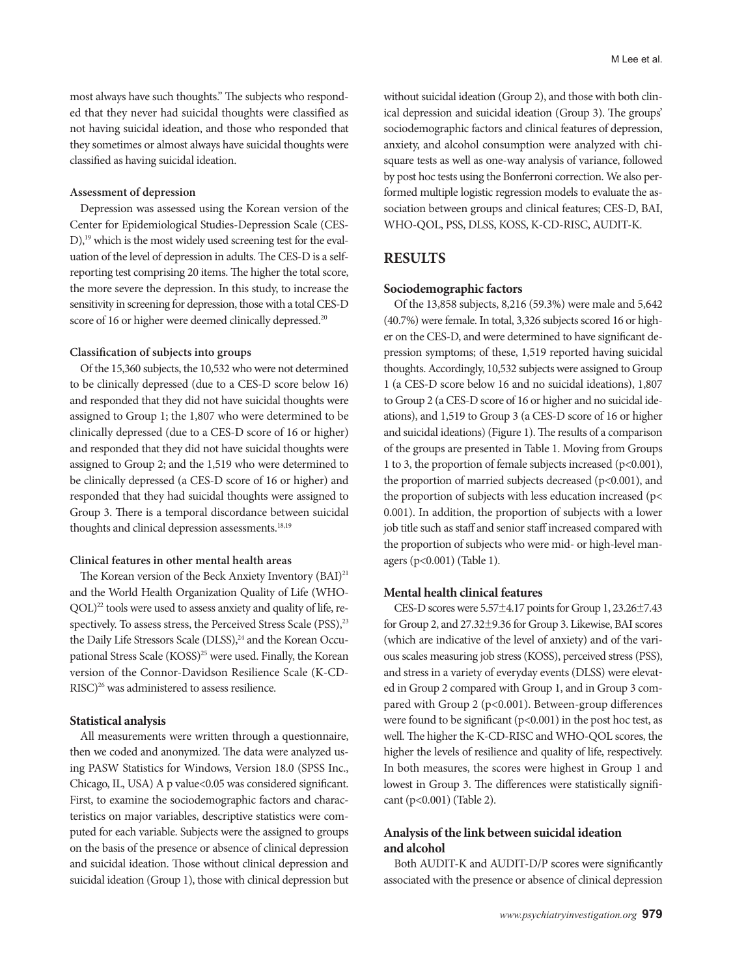most always have such thoughts." The subjects who responded that they never had suicidal thoughts were classified as not having suicidal ideation, and those who responded that they sometimes or almost always have suicidal thoughts were classified as having suicidal ideation.

# **Assessment of depression**

Depression was assessed using the Korean version of the Center for Epidemiological Studies-Depression Scale (CES-D),<sup>19</sup> which is the most widely used screening test for the evaluation of the level of depression in adults. The CES-D is a selfreporting test comprising 20 items. The higher the total score, the more severe the depression. In this study, to increase the sensitivity in screening for depression, those with a total CES-D score of 16 or higher were deemed clinically depressed.<sup>20</sup>

# **Classification of subjects into groups**

Of the 15,360 subjects, the 10,532 who were not determined to be clinically depressed (due to a CES-D score below 16) and responded that they did not have suicidal thoughts were assigned to Group 1; the 1,807 who were determined to be clinically depressed (due to a CES-D score of 16 or higher) and responded that they did not have suicidal thoughts were assigned to Group 2; and the 1,519 who were determined to be clinically depressed (a CES-D score of 16 or higher) and responded that they had suicidal thoughts were assigned to Group 3. There is a temporal discordance between suicidal thoughts and clinical depression assessments.<sup>18,19</sup>

# **Clinical features in other mental health areas**

The Korean version of the Beck Anxiety Inventory (BAI)<sup>21</sup> and the World Health Organization Quality of Life (WHO- $QOL)^{22}$  tools were used to assess anxiety and quality of life, respectively. To assess stress, the Perceived Stress Scale (PSS),<sup>23</sup> the Daily Life Stressors Scale (DLSS),<sup>24</sup> and the Korean Occupational Stress Scale (KOSS)<sup>25</sup> were used. Finally, the Korean version of the Connor-Davidson Resilience Scale (K-CD-RISC)<sup>26</sup> was administered to assess resilience.

## **Statistical analysis**

All measurements were written through a questionnaire, then we coded and anonymized. The data were analyzed using PASW Statistics for Windows, Version 18.0 (SPSS Inc., Chicago, IL, USA) A p value<0.05 was considered significant. First, to examine the sociodemographic factors and characteristics on major variables, descriptive statistics were computed for each variable. Subjects were the assigned to groups on the basis of the presence or absence of clinical depression and suicidal ideation. Those without clinical depression and suicidal ideation (Group 1), those with clinical depression but without suicidal ideation (Group 2), and those with both clinical depression and suicidal ideation (Group 3). The groups' sociodemographic factors and clinical features of depression, anxiety, and alcohol consumption were analyzed with chisquare tests as well as one-way analysis of variance, followed by post hoc tests using the Bonferroni correction. We also performed multiple logistic regression models to evaluate the association between groups and clinical features; CES-D, BAI, WHO-QOL, PSS, DLSS, KOSS, K-CD-RISC, AUDIT-K.

# **RESULTS**

## **Sociodemographic factors**

Of the 13,858 subjects, 8,216 (59.3%) were male and 5,642 (40.7%) were female. In total, 3,326 subjects scored 16 or higher on the CES-D, and were determined to have significant depression symptoms; of these, 1,519 reported having suicidal thoughts. Accordingly, 10,532 subjects were assigned to Group 1 (a CES-D score below 16 and no suicidal ideations), 1,807 to Group 2 (a CES-D score of 16 or higher and no suicidal ideations), and 1,519 to Group 3 (a CES-D score of 16 or higher and suicidal ideations) (Figure 1). The results of a comparison of the groups are presented in Table 1. Moving from Groups 1 to 3, the proportion of female subjects increased (p<0.001), the proportion of married subjects decreased ( $p<0.001$ ), and the proportion of subjects with less education increased (p< 0.001). In addition, the proportion of subjects with a lower job title such as staff and senior staff increased compared with the proportion of subjects who were mid- or high-level managers (p<0.001) (Table 1).

## **Mental health clinical features**

CES-D scores were  $5.57\pm4.17$  points for Group 1,  $23.26\pm7.43$ for Group 2, and 27.32±9.36 for Group 3. Likewise, BAI scores (which are indicative of the level of anxiety) and of the various scales measuring job stress (KOSS), perceived stress (PSS), and stress in a variety of everyday events (DLSS) were elevated in Group 2 compared with Group 1, and in Group 3 compared with Group 2 (p<0.001). Between-group differences were found to be significant ( $p$ <0.001) in the post hoc test, as well. The higher the K-CD-RISC and WHO-QOL scores, the higher the levels of resilience and quality of life, respectively. In both measures, the scores were highest in Group 1 and lowest in Group 3. The differences were statistically significant (p<0.001) (Table 2).

# **Analysis of the link between suicidal ideation and alcohol**

Both AUDIT-K and AUDIT-D/P scores were significantly associated with the presence or absence of clinical depression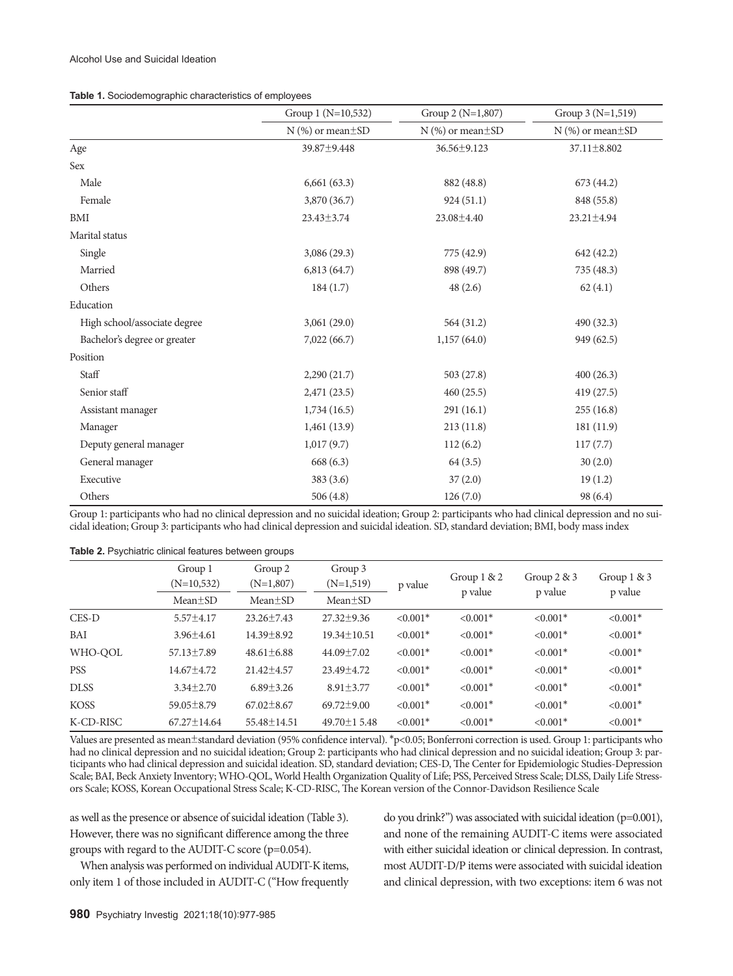| Table 1. Sociodemographic characteristics of employees |  |
|--------------------------------------------------------|--|
|--------------------------------------------------------|--|

|                              | Group 1 (N=10,532)       | Group 2 (N=1,807)        | Group 3 (N=1,519)        |  |
|------------------------------|--------------------------|--------------------------|--------------------------|--|
|                              | $N$ (%) or mean $\pm$ SD | $N$ (%) or mean $\pm$ SD | $N$ (%) or mean $\pm$ SD |  |
| Age                          | 39.87±9.448              | 36.56±9.123              | 37.11±8.802              |  |
| Sex                          |                          |                          |                          |  |
| Male                         | 6,661(63.3)              | 882 (48.8)               | 673 (44.2)               |  |
| Female                       | 3,870 (36.7)             | 924(51.1)                | 848 (55.8)               |  |
| BMI                          | 23.43±3.74               | 23.08±4.40               | 23.21±4.94               |  |
| Marital status               |                          |                          |                          |  |
| Single                       | 3,086 (29.3)             | 775 (42.9)               | 642 (42.2)               |  |
| Married                      | 6,813(64.7)              | 898 (49.7)               | 735 (48.3)               |  |
| Others                       | 184(1.7)                 | 48(2.6)                  | 62(4.1)                  |  |
| Education                    |                          |                          |                          |  |
| High school/associate degree | 3,061(29.0)              | 564 (31.2)               | 490 (32.3)               |  |
| Bachelor's degree or greater | 7,022(66.7)              | 1,157(64.0)              | 949 (62.5)               |  |
| Position                     |                          |                          |                          |  |
| Staff                        | 2,290(21.7)              | 503(27.8)                | 400(26.3)                |  |
| Senior staff                 | 2,471(23.5)              | 460(25.5)                | 419 (27.5)               |  |
| Assistant manager            | 1,734(16.5)              | 291(16.1)                | 255(16.8)                |  |
| Manager                      | 1,461(13.9)              | 213(11.8)                | 181 (11.9)               |  |
| Deputy general manager       | 1,017(9.7)               | 112(6.2)                 | 117(7.7)                 |  |
| General manager              | 668(6.3)                 | 64(3.5)                  | 30(2.0)                  |  |
| Executive                    | 383(3.6)                 | 37(2.0)                  | 19(1.2)                  |  |
| Others                       | 506(4.8)                 | 126(7.0)                 | 98 (6.4)                 |  |

Group 1: participants who had no clinical depression and no suicidal ideation; Group 2: participants who had clinical depression and no suicidal ideation; Group 3: participants who had clinical depression and suicidal ideation. SD, standard deviation; BMI, body mass index

**Table 2.** Psychiatric clinical features between groups

|             | Group 1<br>$(N=10,532)$<br>$Mean \pm SD$ | Group 2<br>$(N=1,807)$<br>$Mean \pm SD$ | Group 3<br>$(N=1,519)$<br>$Mean \pm SD$ | p value                | Group $1 & 2$<br>p value | Group $2 \& 3$<br>p value | Group $1 & 3$<br>p value |
|-------------|------------------------------------------|-----------------------------------------|-----------------------------------------|------------------------|--------------------------|---------------------------|--------------------------|
| CES-D       | $5.57 \pm 4.17$                          | $23.26 \pm 7.43$                        | $27.32 \pm 9.36$                        | $< 0.001$ <sup>*</sup> | $< 0.001*$               | $< 0.001$ <sup>*</sup>    | $< 0.001$ <sup>*</sup>   |
| BAI         | $3.96 \pm 4.61$                          | $14.39 + 8.92$                          | $19.34 \pm 10.51$                       | $< 0.001*$             | $< 0.001*$               | $< 0.001*$                | $< 0.001*$               |
| WHO-OOL     | $57.13 \pm 7.89$                         | $48.61 \pm 6.88$                        | $44.09 \pm 7.02$                        | $< 0.001*$             | $< 0.001*$               | $< 0.001*$                | $< 0.001*$               |
| <b>PSS</b>  | $14.67 \pm 4.72$                         | $21.42 \pm 4.57$                        | 23.49 ± 4.72                            | $< 0.001$ *            | $< 0.001*$               | $< 0.001*$                | $< 0.001$ <sup>*</sup>   |
| <b>DLSS</b> | $3.34 \pm 2.70$                          | $6.89 \pm 3.26$                         | $8.91 \pm 3.77$                         | $< 0.001*$             | $< 0.001*$               | $< 0.001*$                | $< 0.001*$               |
| <b>KOSS</b> | $59.05 \pm 8.79$                         | $67.02 \pm 8.67$                        | $69.72 + 9.00$                          | $< 0.001*$             | $< 0.001*$               | $< 0.001*$                | $< 0.001*$               |
| K-CD-RISC   | $67.27 \pm 14.64$                        | 55.48 ± 14.51                           | 49.70 ± 15.48                           | $< 0.001*$             | $< 0.001*$               | $< 0.001*$                | $< 0.001*$               |

Values are presented as mean±standard deviation (95% confidence interval). \*p<0.05; Bonferroni correction is used. Group 1: participants who had no clinical depression and no suicidal ideation; Group 2: participants who had clinical depression and no suicidal ideation; Group 3: participants who had clinical depression and suicidal ideation. SD, standard deviation; CES-D, The Center for Epidemiologic Studies-Depression Scale; BAI, Beck Anxiety Inventory; WHO-QOL, World Health Organization Quality of Life; PSS, Perceived Stress Scale; DLSS, Daily Life Stressors Scale; KOSS, Korean Occupational Stress Scale; K-CD-RISC, The Korean version of the Connor-Davidson Resilience Scale

as well as the presence or absence of suicidal ideation (Table 3). However, there was no significant difference among the three groups with regard to the AUDIT-C score (p=0.054).

When analysis was performed on individual AUDIT-K items, only item 1 of those included in AUDIT-C ("How frequently do you drink?") was associated with suicidal ideation (p=0.001), and none of the remaining AUDIT-C items were associated with either suicidal ideation or clinical depression. In contrast, most AUDIT-D/P items were associated with suicidal ideation and clinical depression, with two exceptions: item 6 was not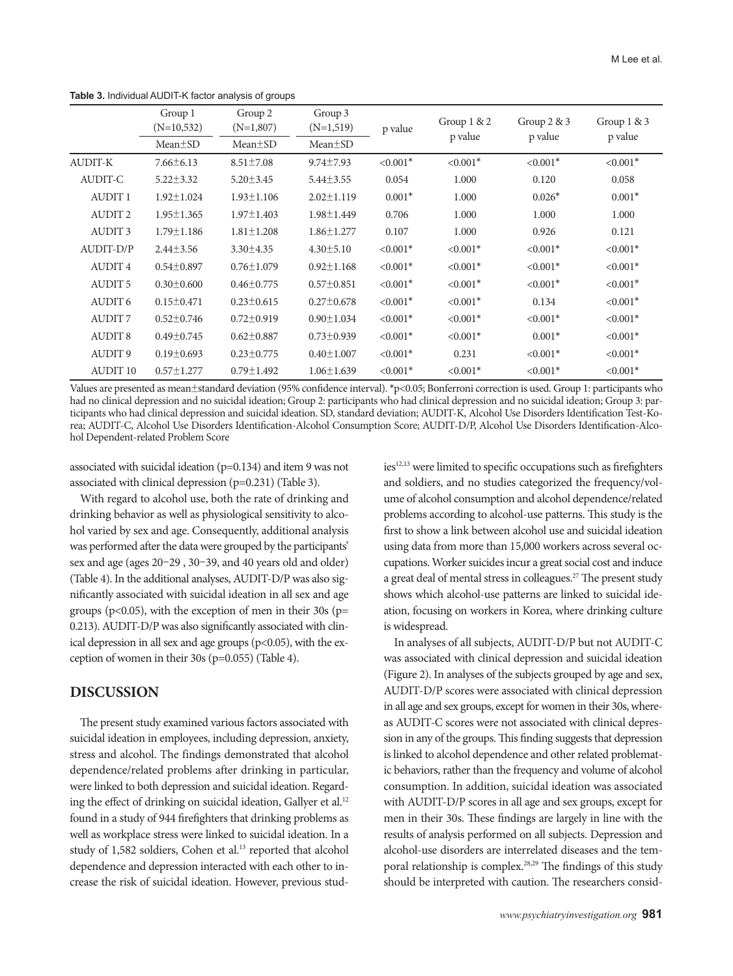|                 | Group 1          | Group 2          | Group 3          |             | Group $1 & 2$          | Group $2 \& 3$<br>p value | Group $1 & 3$ |
|-----------------|------------------|------------------|------------------|-------------|------------------------|---------------------------|---------------|
|                 | $(N=10,532)$     | $(N=1,807)$      | $(N=1,519)$      | p value     |                        |                           |               |
|                 | $Mean \pm SD$    | $Mean \pm SD$    | $Mean \pm SD$    |             | p value                |                           | p value       |
| <b>AUDIT-K</b>  | $7.66 \pm 6.13$  | $8.51 \pm 7.08$  | $9.74 \pm 7.93$  | $< 0.001*$  | $< 0.001*$             | $< 0.001*$                | $< 0.001*$    |
| AUDIT-C         | $5.22 \pm 3.32$  | $5.20 \pm 3.45$  | $5.44 \pm 3.55$  | 0.054       | 1.000                  | 0.120                     | 0.058         |
| <b>AUDIT 1</b>  | $1.92 \pm 1.024$ | $1.93 \pm 1.106$ | $2.02 \pm 1.119$ | $0.001*$    | 1.000                  | $0.026*$                  | $0.001*$      |
| <b>AUDIT2</b>   | $1.95 \pm 1.365$ | $1.97 \pm 1.403$ | $1.98 \pm 1.449$ | 0.706       | 1.000                  | 1.000                     | 1.000         |
| <b>AUDIT3</b>   | $1.79 \pm 1.186$ | $1.81 \pm 1.208$ | $1.86 \pm 1.277$ | 0.107       | 1.000                  | 0.926                     | 0.121         |
| AUDIT-D/P       | $2.44\pm3.56$    | $3.30 \pm 4.35$  | $4.30 \pm 5.10$  | $< 0.001*$  | $< 0.001$ <sup>*</sup> | $< 0.001*$                | $< 0.001$ *   |
| <b>AUDIT4</b>   | $0.54 \pm 0.897$ | $0.76 \pm 1.079$ | $0.92 \pm 1.168$ | $< 0.001*$  | $< 0.001*$             | $< 0.001*$                | $< 0.001*$    |
| <b>AUDIT 5</b>  | $0.30 \pm 0.600$ | $0.46 \pm 0.775$ | $0.57 \pm 0.851$ | $< 0.001*$  | $< 0.001*$             | $< 0.001*$                | $< 0.001*$    |
| <b>AUDIT 6</b>  | $0.15 \pm 0.471$ | $0.23 \pm 0.615$ | $0.27 \pm 0.678$ | $< 0.001*$  | $< 0.001*$             | 0.134                     | $< 0.001*$    |
| <b>AUDIT7</b>   | $0.52 \pm 0.746$ | $0.72 \pm 0.919$ | $0.90 \pm 1.034$ | $< 0.001*$  | $< 0.001*$             | $< 0.001*$                | $< 0.001*$    |
| <b>AUDIT 8</b>  | $0.49 \pm 0.745$ | $0.62 \pm 0.887$ | $0.73 \pm 0.939$ | $< 0.001$ * | $< 0.001$ <sup>*</sup> | $0.001*$                  | $< 0.001$ *   |
| <b>AUDIT9</b>   | $0.19 \pm 0.693$ | $0.23 \pm 0.775$ | $0.40 \pm 1.007$ | $< 0.001*$  | 0.231                  | $< 0.001*$                | $< 0.001*$    |
| <b>AUDIT 10</b> | $0.57 \pm 1.277$ | $0.79 \pm 1.492$ | $1.06 \pm 1.639$ | $< 0.001*$  | $< 0.001*$             | $< 0.001*$                | $< 0.001*$    |

**Table 3.** Individual AUDIT-K factor analysis of groups

Values are presented as mean±standard deviation (95% confidence interval). \*p<0.05; Bonferroni correction is used. Group 1: participants who had no clinical depression and no suicidal ideation; Group 2: participants who had clinical depression and no suicidal ideation; Group 3: participants who had clinical depression and suicidal ideation. SD, standard deviation; AUDIT-K, Alcohol Use Disorders Identification Test-Korea; AUDIT-C, Alcohol Use Disorders Identification-Alcohol Consumption Score; AUDIT-D/P, Alcohol Use Disorders Identification-Alcohol Dependent-related Problem Score

associated with suicidal ideation (p=0.134) and item 9 was not associated with clinical depression (p=0.231) (Table 3).

With regard to alcohol use, both the rate of drinking and drinking behavior as well as physiological sensitivity to alcohol varied by sex and age. Consequently, additional analysis was performed after the data were grouped by the participants' sex and age (ages 20–29 , 30–39, and 40 years old and older) (Table 4). In the additional analyses, AUDIT-D/P was also significantly associated with suicidal ideation in all sex and age groups ( $p<0.05$ ), with the exception of men in their 30s ( $p=$ 0.213). AUDIT-D/P was also significantly associated with clinical depression in all sex and age groups ( $p<0.05$ ), with the exception of women in their 30s (p=0.055) (Table 4).

# **DISCUSSION**

The present study examined various factors associated with suicidal ideation in employees, including depression, anxiety, stress and alcohol. The findings demonstrated that alcohol dependence/related problems after drinking in particular, were linked to both depression and suicidal ideation. Regarding the effect of drinking on suicidal ideation, Gallyer et al.<sup>12</sup> found in a study of 944 firefighters that drinking problems as well as workplace stress were linked to suicidal ideation. In a study of 1,582 soldiers, Cohen et al.<sup>13</sup> reported that alcohol dependence and depression interacted with each other to increase the risk of suicidal ideation. However, previous studies<sup>12,13</sup> were limited to specific occupations such as firefighters and soldiers, and no studies categorized the frequency/volume of alcohol consumption and alcohol dependence/related problems according to alcohol-use patterns. This study is the first to show a link between alcohol use and suicidal ideation using data from more than 15,000 workers across several occupations. Worker suicides incur a great social cost and induce a great deal of mental stress in colleagues.27 The present study shows which alcohol-use patterns are linked to suicidal ideation, focusing on workers in Korea, where drinking culture is widespread.

In analyses of all subjects, AUDIT-D/P but not AUDIT-C was associated with clinical depression and suicidal ideation (Figure 2). In analyses of the subjects grouped by age and sex, AUDIT-D/P scores were associated with clinical depression in all age and sex groups, except for women in their 30s, whereas AUDIT-C scores were not associated with clinical depression in any of the groups. This finding suggests that depression is linked to alcohol dependence and other related problematic behaviors, rather than the frequency and volume of alcohol consumption. In addition, suicidal ideation was associated with AUDIT-D/P scores in all age and sex groups, except for men in their 30s. These findings are largely in line with the results of analysis performed on all subjects. Depression and alcohol-use disorders are interrelated diseases and the temporal relationship is complex.28,29 The findings of this study should be interpreted with caution. The researchers consid-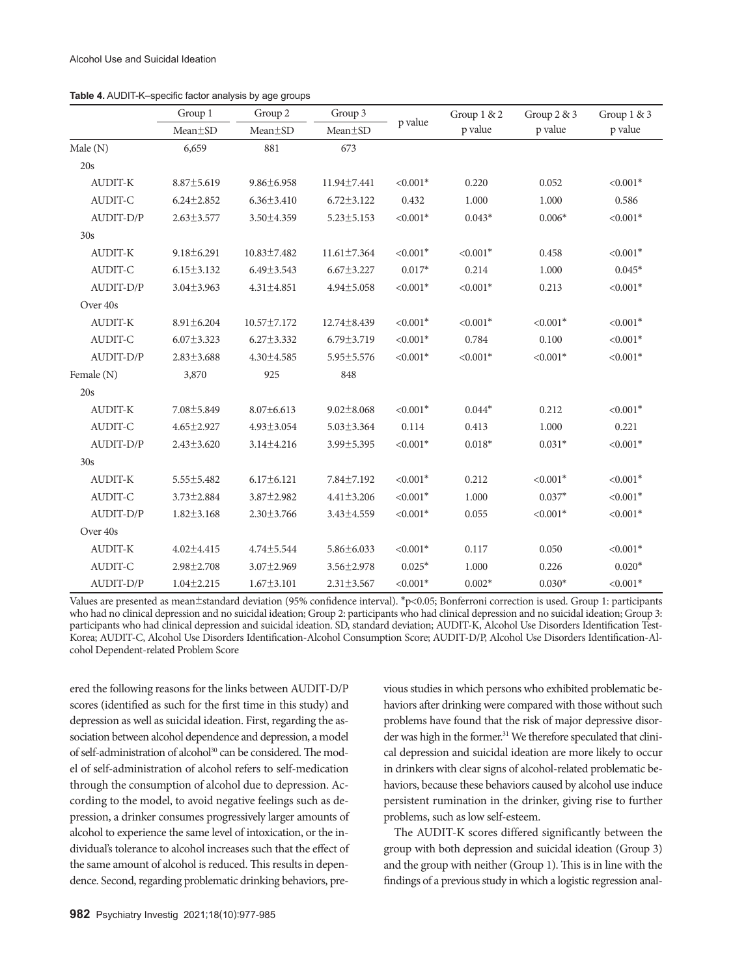|                  | Group 1          | Group 2          | Group 3           | p value     | Group 1 & 2 | Group 2 & 3 | Group 1 & 3 |
|------------------|------------------|------------------|-------------------|-------------|-------------|-------------|-------------|
|                  | Mean±SD          | $Mean \pm SD$    | $Mean \pm SD$     |             | p value     | p value     | p value     |
| Male (N)         | 6,659            | 881              | 673               |             |             |             |             |
| 20s              |                  |                  |                   |             |             |             |             |
| <b>AUDIT-K</b>   | $8.87 \pm 5.619$ | $9.86 \pm 6.958$ | 11.94±7.441       | $< 0.001*$  | 0.220       | 0.052       | $< 0.001*$  |
| <b>AUDIT-C</b>   | $6.24 \pm 2.852$ | $6.36 \pm 3.410$ | $6.72 \pm 3.122$  | 0.432       | 1.000       | 1.000       | 0.586       |
| AUDIT-D/P        | $2.63 \pm 3.577$ | 3.50±4.359       | $5.23 \pm 5.153$  | $< 0.001*$  | $0.043*$    | $0.006*$    | $< 0.001*$  |
| 30s              |                  |                  |                   |             |             |             |             |
| <b>AUDIT-K</b>   | $9.18 \pm 6.291$ | 10.83±7.482      | $11.61 \pm 7.364$ | $< 0.001*$  | $< 0.001*$  | 0.458       | $< 0.001*$  |
| <b>AUDIT-C</b>   | $6.15 \pm 3.132$ | $6.49 \pm 3.543$ | $6.67 \pm 3.227$  | $0.017*$    | 0.214       | 1.000       | $0.045*$    |
| AUDIT-D/P        | $3.04 \pm 3.963$ | $4.31 \pm 4.851$ | $4.94 \pm 5.058$  | $< 0.001*$  | $< 0.001*$  | 0.213       | $< 0.001*$  |
| Over 40s         |                  |                  |                   |             |             |             |             |
| <b>AUDIT-K</b>   | $8.91 \pm 6.204$ | 10.57±7.172      | 12.74±8.439       | $< 0.001*$  | $< 0.001*$  | $< 0.001*$  | $< 0.001*$  |
| <b>AUDIT-C</b>   | $6.07 \pm 3.323$ | $6.27 \pm 3.332$ | $6.79 \pm 3.719$  | $< 0.001*$  | 0.784       | 0.100       | $< 0.001*$  |
| AUDIT-D/P        | $2.83 \pm 3.688$ | $4.30 \pm 4.585$ | 5.95 ± 5.576      | $< 0.001*$  | $< 0.001*$  | $< 0.001*$  | $< 0.001*$  |
| Female (N)       | 3,870            | 925              | 848               |             |             |             |             |
| 20s              |                  |                  |                   |             |             |             |             |
| <b>AUDIT-K</b>   | 7.08±5.849       | $8.07 \pm 6.613$ | $9.02 \pm 8.068$  | $< 0.001*$  | $0.044*$    | 0.212       | $< 0.001*$  |
| AUDIT-C          | $4.65 \pm 2.927$ | $4.93 \pm 3.054$ | $5.03 \pm 3.364$  | 0.114       | 0.413       | 1.000       | 0.221       |
| AUDIT-D/P        | $2.43 \pm 3.620$ | $3.14 \pm 4.216$ | 3.99±5.395        | $< 0.001*$  | $0.018*$    | $0.031*$    | $< 0.001*$  |
| 30s              |                  |                  |                   |             |             |             |             |
| <b>AUDIT-K</b>   | $5.55 \pm 5.482$ | $6.17\pm6.121$   | $7.84 \pm 7.192$  | $< 0.001$ * | 0.212       | $< 0.001*$  | $< 0.001*$  |
| <b>AUDIT-C</b>   | $3.73 \pm 2.884$ | 3.87±2.982       | $4.41 \pm 3.206$  | $< 0.001*$  | 1.000       | $0.037*$    | $< 0.001*$  |
| AUDIT-D/P        | $1.82 \pm 3.168$ | $2.30 \pm 3.766$ | $3.43 \pm 4.559$  | $< 0.001*$  | 0.055       | $< 0.001*$  | $< 0.001*$  |
| Over 40s         |                  |                  |                   |             |             |             |             |
| <b>AUDIT-K</b>   | $4.02 \pm 4.415$ | $4.74 \pm 5.544$ | $5.86 \pm 6.033$  | $< 0.001*$  | 0.117       | 0.050       | $< 0.001*$  |
| <b>AUDIT-C</b>   | $2.98 \pm 2.708$ | 3.07±2.969       | $3.56 \pm 2.978$  | $0.025*$    | 1.000       | 0.226       | $0.020*$    |
| <b>AUDIT-D/P</b> | $1.04 \pm 2.215$ | $1.67 \pm 3.101$ | $2.31 \pm 3.567$  | $< 0.001*$  | $0.002*$    | $0.030*$    | $< 0.001*$  |

**Table 4.** AUDIT-K–specific factor analysis by age groups

Values are presented as mean±standard deviation (95% confidence interval). \*p<0.05; Bonferroni correction is used. Group 1: participants who had no clinical depression and no suicidal ideation; Group 2: participants who had clinical depression and no suicidal ideation; Group 3: participants who had clinical depression and suicidal ideation. SD, standard deviation; AUDIT-K, Alcohol Use Disorders Identification Test-Korea; AUDIT-C, Alcohol Use Disorders Identification-Alcohol Consumption Score; AUDIT-D/P, Alcohol Use Disorders Identification-Alcohol Dependent-related Problem Score

ered the following reasons for the links between AUDIT-D/P scores (identified as such for the first time in this study) and depression as well as suicidal ideation. First, regarding the association between alcohol dependence and depression, a model of self-administration of alcohol<sup>30</sup> can be considered. The model of self-administration of alcohol refers to self-medication through the consumption of alcohol due to depression. According to the model, to avoid negative feelings such as depression, a drinker consumes progressively larger amounts of alcohol to experience the same level of intoxication, or the individual's tolerance to alcohol increases such that the effect of the same amount of alcohol is reduced. This results in dependence. Second, regarding problematic drinking behaviors, pre-

vious studies in which persons who exhibited problematic behaviors after drinking were compared with those without such problems have found that the risk of major depressive disorder was high in the former.<sup>31</sup> We therefore speculated that clinical depression and suicidal ideation are more likely to occur in drinkers with clear signs of alcohol-related problematic behaviors, because these behaviors caused by alcohol use induce persistent rumination in the drinker, giving rise to further problems, such as low self-esteem.

The AUDIT-K scores differed significantly between the group with both depression and suicidal ideation (Group 3) and the group with neither (Group 1). This is in line with the findings of a previous study in which a logistic regression anal-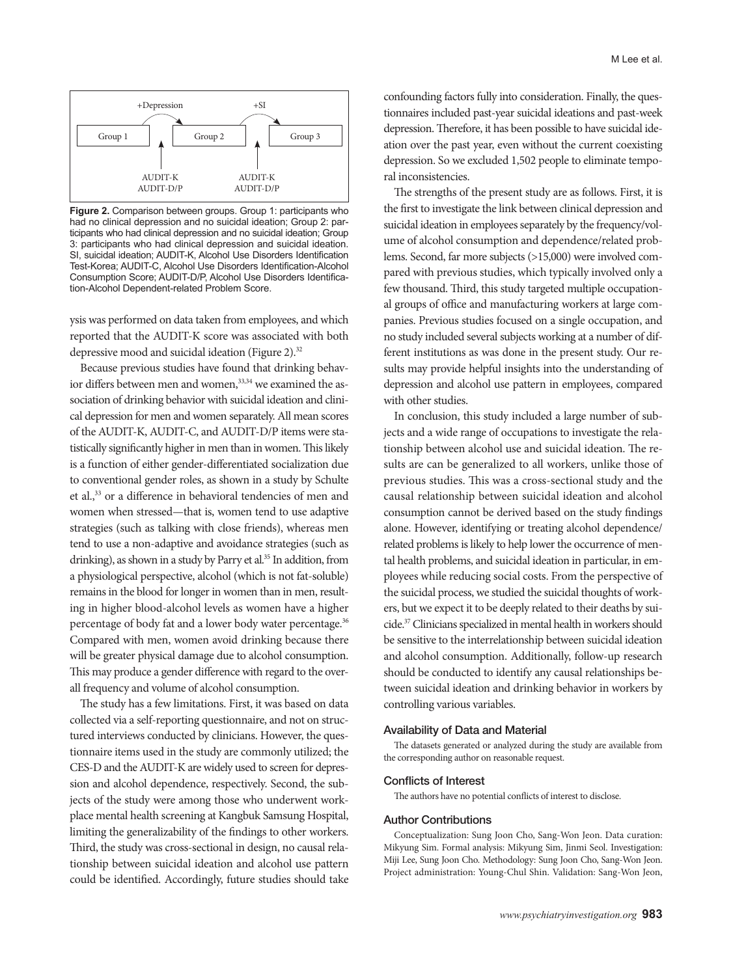

**Figure 2.** Comparison between groups. Group 1: participants who had no clinical depression and no suicidal ideation; Group 2: participants who had clinical depression and no suicidal ideation; Group 3: participants who had clinical depression and suicidal ideation. SI, suicidal ideation; AUDIT-K, Alcohol Use Disorders Identification Test-Korea; AUDIT-C, Alcohol Use Disorders Identification-Alcohol Consumption Score; AUDIT-D/P, Alcohol Use Disorders Identification-Alcohol Dependent-related Problem Score.

ysis was performed on data taken from employees, and which reported that the AUDIT-K score was associated with both depressive mood and suicidal ideation (Figure 2).<sup>32</sup>

Because previous studies have found that drinking behavior differs between men and women,<sup>33,34</sup> we examined the association of drinking behavior with suicidal ideation and clinical depression for men and women separately. All mean scores of the AUDIT-K, AUDIT-C, and AUDIT-D/P items were statistically significantly higher in men than in women. This likely is a function of either gender-differentiated socialization due to conventional gender roles, as shown in a study by Schulte et al.,<sup>33</sup> or a difference in behavioral tendencies of men and women when stressed—that is, women tend to use adaptive strategies (such as talking with close friends), whereas men tend to use a non-adaptive and avoidance strategies (such as drinking), as shown in a study by Parry et al.<sup>35</sup> In addition, from a physiological perspective, alcohol (which is not fat-soluble) remains in the blood for longer in women than in men, resulting in higher blood-alcohol levels as women have a higher percentage of body fat and a lower body water percentage.<sup>36</sup> Compared with men, women avoid drinking because there will be greater physical damage due to alcohol consumption. This may produce a gender difference with regard to the overall frequency and volume of alcohol consumption.

The study has a few limitations. First, it was based on data collected via a self-reporting questionnaire, and not on structured interviews conducted by clinicians. However, the questionnaire items used in the study are commonly utilized; the CES-D and the AUDIT-K are widely used to screen for depression and alcohol dependence, respectively. Second, the subjects of the study were among those who underwent workplace mental health screening at Kangbuk Samsung Hospital, limiting the generalizability of the findings to other workers. Third, the study was cross-sectional in design, no causal relationship between suicidal ideation and alcohol use pattern could be identified. Accordingly, future studies should take confounding factors fully into consideration. Finally, the questionnaires included past-year suicidal ideations and past-week depression. Therefore, it has been possible to have suicidal ideation over the past year, even without the current coexisting depression. So we excluded 1,502 people to eliminate temporal inconsistencies.

The strengths of the present study are as follows. First, it is the first to investigate the link between clinical depression and suicidal ideation in employees separately by the frequency/volume of alcohol consumption and dependence/related problems. Second, far more subjects (>15,000) were involved compared with previous studies, which typically involved only a few thousand. Third, this study targeted multiple occupational groups of office and manufacturing workers at large companies. Previous studies focused on a single occupation, and no study included several subjects working at a number of different institutions as was done in the present study. Our results may provide helpful insights into the understanding of depression and alcohol use pattern in employees, compared with other studies.

In conclusion, this study included a large number of subjects and a wide range of occupations to investigate the relationship between alcohol use and suicidal ideation. The results are can be generalized to all workers, unlike those of previous studies. This was a cross-sectional study and the causal relationship between suicidal ideation and alcohol consumption cannot be derived based on the study findings alone. However, identifying or treating alcohol dependence/ related problems is likely to help lower the occurrence of mental health problems, and suicidal ideation in particular, in employees while reducing social costs. From the perspective of the suicidal process, we studied the suicidal thoughts of workers, but we expect it to be deeply related to their deaths by suicide.37 Clinicians specialized in mental health in workers should be sensitive to the interrelationship between suicidal ideation and alcohol consumption. Additionally, follow-up research should be conducted to identify any causal relationships between suicidal ideation and drinking behavior in workers by controlling various variables.

#### Availability of Data and Material

The datasets generated or analyzed during the study are available from the corresponding author on reasonable request.

#### Conflicts of Interest

The authors have no potential conflicts of interest to disclose.

#### Author Contributions

Conceptualization: Sung Joon Cho, Sang-Won Jeon. Data curation: Mikyung Sim. Formal analysis: Mikyung Sim, Jinmi Seol. Investigation: Miji Lee, Sung Joon Cho. Methodology: Sung Joon Cho, Sang-Won Jeon. Project administration: Young-Chul Shin. Validation: Sang-Won Jeon,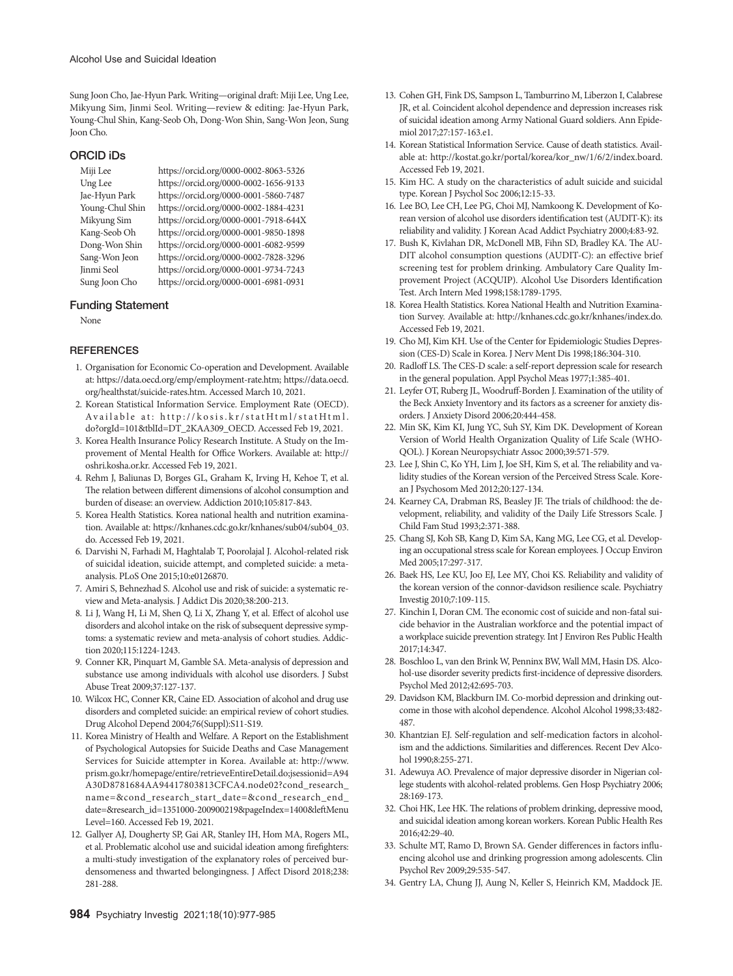Sung Joon Cho, Jae-Hyun Park. Writing—original draft: Miji Lee, Ung Lee, Mikyung Sim, Jinmi Seol. Writing—review & editing: Jae-Hyun Park, Young-Chul Shin, Kang-Seob Oh, Dong-Won Shin, Sang-Won Jeon, Sung Joon Cho.

#### ORCID iDs

Miji Lee https://orcid.org/0000-0002-8063-5326 Ung Lee https://orcid.org/0000-0002-1656-9133 Jae-Hyun Park https://orcid.org/0000-0001-5860-7487 https://orcid.org/0000-0002-1884-4231 Mikyung Sim https://orcid.org/0000-0001-7918-644X Kang-Seob Oh https://orcid.org/0000-0001-9850-1898 Dong-Won Shin https://orcid.org/0000-0001-6082-9599 Sang-Won Jeon https://orcid.org/0000-0002-7828-3296 Jinmi Seol https://orcid.org/0000-0001-9734-7243 Sung Joon Cho https://orcid.org/0000-0001-6981-0931

#### Funding Statement

None

#### **REFERENCES**

- 1. Organisation for Economic Co-operation and Development. Available at: https://data.oecd.org/emp/employment-rate.htm; https://data.oecd. org/healthstat/suicide-rates.htm. Accessed March 10, 2021.
- 2. Korean Statistical Information Service. Employment Rate (OECD). Available at: http://kosis.kr/statHtml/statHtml. do?orgId=101&tblId=DT\_2KAA309\_OECD. Accessed Feb 19, 2021.
- 3. Korea Health Insurance Policy Research Institute. A Study on the Improvement of Mental Health for Office Workers. Available at: http:// oshri.kosha.or.kr. Accessed Feb 19, 2021.
- 4. Rehm J, Baliunas D, Borges GL, Graham K, Irving H, Kehoe T, et al. The relation between different dimensions of alcohol consumption and burden of disease: an overview. Addiction 2010;105:817-843.
- 5. Korea Health Statistics. Korea national health and nutrition examination. Available at: https://knhanes.cdc.go.kr/knhanes/sub04/sub04\_03. do. Accessed Feb 19, 2021.
- 6. Darvishi N, Farhadi M, Haghtalab T, Poorolajal J. Alcohol-related risk of suicidal ideation, suicide attempt, and completed suicide: a metaanalysis. PLoS One 2015;10:e0126870.
- 7. Amiri S, Behnezhad S. Alcohol use and risk of suicide: a systematic review and Meta-analysis. J Addict Dis 2020;38:200-213.
- 8. Li J, Wang H, Li M, Shen Q, Li X, Zhang Y, et al. Effect of alcohol use disorders and alcohol intake on the risk of subsequent depressive symptoms: a systematic review and meta-analysis of cohort studies. Addiction 2020;115:1224-1243.
- 9. Conner KR, Pinquart M, Gamble SA. Meta-analysis of depression and substance use among individuals with alcohol use disorders. J Subst Abuse Treat 2009;37:127-137.
- 10. Wilcox HC, Conner KR, Caine ED. Association of alcohol and drug use disorders and completed suicide: an empirical review of cohort studies. Drug Alcohol Depend 2004;76(Suppl):S11-S19.
- 11. Korea Ministry of Health and Welfare. A Report on the Establishment of Psychological Autopsies for Suicide Deaths and Case Management Services for Suicide attempter in Korea. Available at: http://www. prism.go.kr/homepage/entire/retrieveEntireDetail.do;jsessionid=A94 A30D8781684AA94417803813CFCA4.node02?cond\_research\_ name=&cond\_research\_start\_date=&cond\_research\_end\_ date=&research\_id=1351000-200900219&pageIndex=1400&leftMenu Level=160. Accessed Feb 19, 2021.
- 12. Gallyer AJ, Dougherty SP, Gai AR, Stanley IH, Hom MA, Rogers ML, et al. Problematic alcohol use and suicidal ideation among firefighters: a multi-study investigation of the explanatory roles of perceived burdensomeness and thwarted belongingness. J Affect Disord 2018;238: 281-288.
- 13. Cohen GH, Fink DS, Sampson L, Tamburrino M, Liberzon I, Calabrese JR, et al. Coincident alcohol dependence and depression increases risk of suicidal ideation among Army National Guard soldiers. Ann Epidemiol 2017;27:157-163.e1.
- 14. Korean Statistical Information Service. Cause of death statistics. Available at: http://kostat.go.kr/portal/korea/kor\_nw/1/6/2/index.board. Accessed Feb 19, 2021.
- 15. Kim HC. A study on the characteristics of adult suicide and suicidal type. Korean J Psychol Soc 2006;12:15-33.
- 16. Lee BO, Lee CH, Lee PG, Choi MJ, Namkoong K. Development of Korean version of alcohol use disorders identification test (AUDIT-K): its reliability and validity. J Korean Acad Addict Psychiatry 2000;4:83-92.
- 17. Bush K, Kivlahan DR, McDonell MB, Fihn SD, Bradley KA. The AU-DIT alcohol consumption questions (AUDIT-C): an effective brief screening test for problem drinking. Ambulatory Care Quality Improvement Project (ACQUIP). Alcohol Use Disorders Identification Test. Arch Intern Med 1998;158:1789-1795.
- 18. Korea Health Statistics. Korea National Health and Nutrition Examination Survey. Available at: http://knhanes.cdc.go.kr/knhanes/index.do. Accessed Feb 19, 2021.
- 19. Cho MJ, Kim KH. Use of the Center for Epidemiologic Studies Depression (CES-D) Scale in Korea. J Nerv Ment Dis 1998;186:304-310.
- 20. Radloff LS. The CES-D scale: a self-report depression scale for research in the general population. Appl Psychol Meas 1977;1:385-401.
- 21. Leyfer OT, Ruberg JL, Woodruff-Borden J. Examination of the utility of the Beck Anxiety Inventory and its factors as a screener for anxiety disorders. J Anxiety Disord 2006;20:444-458.
- 22. Min SK, Kim KI, Jung YC, Suh SY, Kim DK. Development of Korean Version of World Health Organization Quality of Life Scale (WHO-QOL). J Korean Neuropsychiatr Assoc 2000;39:571-579.
- 23. Lee J, Shin C, Ko YH, Lim J, Joe SH, Kim S, et al. The reliability and validity studies of the Korean version of the Perceived Stress Scale. Korean J Psychosom Med 2012;20:127-134.
- 24. Kearney CA, Drabman RS, Beasley JF. The trials of childhood: the development, reliability, and validity of the Daily Life Stressors Scale. J Child Fam Stud 1993;2:371-388.
- 25. Chang SJ, Koh SB, Kang D, Kim SA, Kang MG, Lee CG, et al. Developing an occupational stress scale for Korean employees. J Occup Environ Med 2005;17:297-317.
- 26. Baek HS, Lee KU, Joo EJ, Lee MY, Choi KS. Reliability and validity of the korean version of the connor-davidson resilience scale. Psychiatry Investig 2010;7:109-115.
- 27. Kinchin I, Doran CM. The economic cost of suicide and non-fatal suicide behavior in the Australian workforce and the potential impact of a workplace suicide prevention strategy. Int J Environ Res Public Health 2017;14:347.
- 28. Boschloo L, van den Brink W, Penninx BW, Wall MM, Hasin DS. Alcohol-use disorder severity predicts first-incidence of depressive disorders. Psychol Med 2012;42:695-703.
- 29. Davidson KM, Blackburn IM. Co-morbid depression and drinking outcome in those with alcohol dependence. Alcohol Alcohol 1998;33:482- 487.
- 30. Khantzian EJ. Self-regulation and self-medication factors in alcoholism and the addictions. Similarities and differences. Recent Dev Alcohol 1990;8:255-271.
- 31. Adewuya AO. Prevalence of major depressive disorder in Nigerian college students with alcohol-related problems. Gen Hosp Psychiatry 2006; 28:169-173.
- 32. Choi HK, Lee HK. The relations of problem drinking, depressive mood, and suicidal ideation among korean workers. Korean Public Health Res 2016;42:29-40.
- 33. Schulte MT, Ramo D, Brown SA. Gender differences in factors influencing alcohol use and drinking progression among adolescents. Clin Psychol Rev 2009;29:535-547.
- 34. Gentry LA, Chung JJ, Aung N, Keller S, Heinrich KM, Maddock JE.